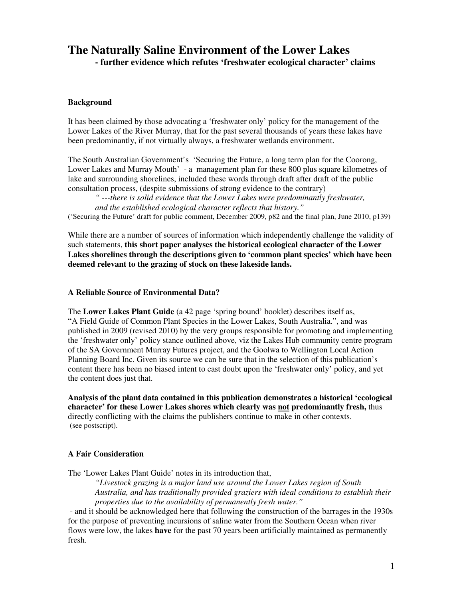# **The Naturally Saline Environment of the Lower Lakes - further evidence which refutes 'freshwater ecological character' claims**

#### **Background**

It has been claimed by those advocating a 'freshwater only' policy for the management of the Lower Lakes of the River Murray, that for the past several thousands of years these lakes have been predominantly, if not virtually always, a freshwater wetlands environment.

The South Australian Government's 'Securing the Future, a long term plan for the Coorong, Lower Lakes and Murray Mouth' - a management plan for these 800 plus square kilometres of lake and surrounding shorelines, included these words through draft after draft of the public consultation process, (despite submissions of strong evidence to the contrary)

*" ---there is solid evidence that the Lower Lakes were predominantly freshwater, and the established ecological character reflects that history."*  ('Securing the Future' draft for public comment, December 2009, p82 and the final plan, June 2010, p139)

While there are a number of sources of information which independently challenge the validity of such statements, **this short paper analyses the historical ecological character of the Lower Lakes shorelines through the descriptions given to 'common plant species' which have been deemed relevant to the grazing of stock on these lakeside lands.**

#### **A Reliable Source of Environmental Data?**

The **Lower Lakes Plant Guide** (a 42 page 'spring bound' booklet) describes itself as, "A Field Guide of Common Plant Species in the Lower Lakes, South Australia.", and was published in 2009 (revised 2010) by the very groups responsible for promoting and implementing the 'freshwater only' policy stance outlined above, viz the Lakes Hub community centre program of the SA Government Murray Futures project, and the Goolwa to Wellington Local Action Planning Board Inc. Given its source we can be sure that in the selection of this publication's content there has been no biased intent to cast doubt upon the 'freshwater only' policy, and yet the content does just that.

**Analysis of the plant data contained in this publication demonstrates a historical 'ecological character' for these Lower Lakes shores which clearly was not predominantly fresh,** thus directly conflicting with the claims the publishers continue to make in other contexts. (see postscript).

#### **A Fair Consideration**

The 'Lower Lakes Plant Guide' notes in its introduction that,

*"Livestock grazing is a major land use around the Lower Lakes region of South Australia, and has traditionally provided graziers with ideal conditions to establish their properties due to the availability of permanently fresh water."* 

 - and it should be acknowledged here that following the construction of the barrages in the 1930s for the purpose of preventing incursions of saline water from the Southern Ocean when river flows were low, the lakes **have** for the past 70 years been artificially maintained as permanently fresh.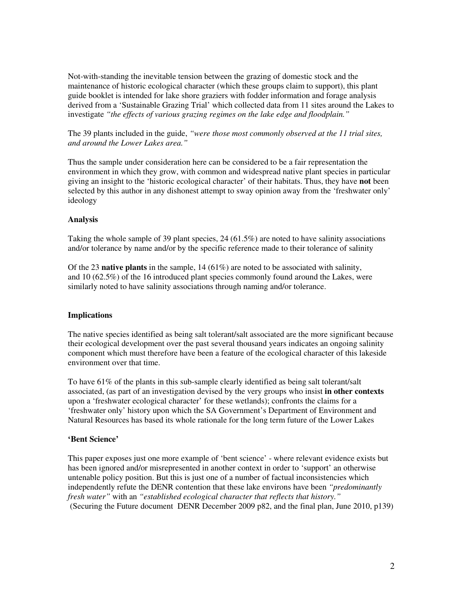Not-with-standing the inevitable tension between the grazing of domestic stock and the maintenance of historic ecological character (which these groups claim to support), this plant guide booklet is intended for lake shore graziers with fodder information and forage analysis derived from a 'Sustainable Grazing Trial' which collected data from 11 sites around the Lakes to investigate *"the effects of various grazing regimes on the lake edge and floodplain."*

The 39 plants included in the guide, *"were those most commonly observed at the 11 trial sites, and around the Lower Lakes area."* 

Thus the sample under consideration here can be considered to be a fair representation the environment in which they grow, with common and widespread native plant species in particular giving an insight to the 'historic ecological character' of their habitats. Thus, they have **not** been selected by this author in any dishonest attempt to sway opinion away from the 'freshwater only' ideology

#### **Analysis**

Taking the whole sample of 39 plant species, 24 (61.5%) are noted to have salinity associations and/or tolerance by name and/or by the specific reference made to their tolerance of salinity

Of the 23 **native plants** in the sample, 14 (61%) are noted to be associated with salinity, and 10 (62.5%) of the 16 introduced plant species commonly found around the Lakes, were similarly noted to have salinity associations through naming and/or tolerance.

#### **Implications**

The native species identified as being salt tolerant/salt associated are the more significant because their ecological development over the past several thousand years indicates an ongoing salinity component which must therefore have been a feature of the ecological character of this lakeside environment over that time.

To have 61% of the plants in this sub-sample clearly identified as being salt tolerant/salt associated, (as part of an investigation devised by the very groups who insist **in other contexts** upon a 'freshwater ecological character' for these wetlands); confronts the claims for a 'freshwater only' history upon which the SA Government's Department of Environment and Natural Resources has based its whole rationale for the long term future of the Lower Lakes

#### **'Bent Science'**

This paper exposes just one more example of 'bent science' - where relevant evidence exists but has been ignored and/or misrepresented in another context in order to 'support' an otherwise untenable policy position. But this is just one of a number of factual inconsistencies which independently refute the DENR contention that these lake environs have been *"predominantly fresh water"* with an *"established ecological character that reflects that history."*  (Securing the Future document DENR December 2009 p82, and the final plan, June 2010, p139)